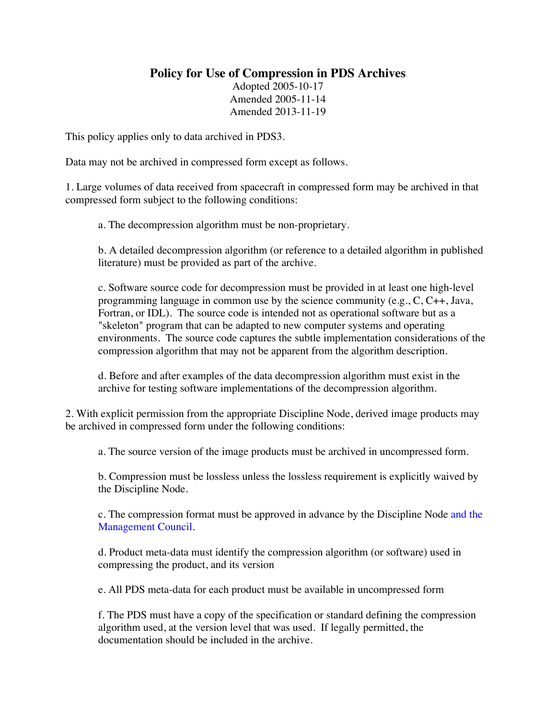## **Policy for Use of Compression in PDS Archives**

Adopted 2005-10-17 Amended 2005-11-14 Amended 2013-11-19

This policy applies only to data archived in PDS3.

Data may not be archived in compressed form except as follows.

1. Large volumes of data received from spacecraft in compressed form may be archived in that compressed form subject to the following conditions:

a. The decompression algorithm must be non-proprietary.

b. A detailed decompression algorithm (or reference to a detailed algorithm in published literature) must be provided as part of the archive.

c. Software source code for decompression must be provided in at least one high-level programming language in common use by the science community (e.g., C, C++, Java, Fortran, or IDL). The source code is intended not as operational software but as a "skeleton" program that can be adapted to new computer systems and operating environments. The source code captures the subtle implementation considerations of the compression algorithm that may not be apparent from the algorithm description.

d. Before and after examples of the data decompression algorithm must exist in the archive for testing software implementations of the decompression algorithm.

2. With explicit permission from the appropriate Discipline Node, derived image products may be archived in compressed form under the following conditions:

a. The source version of the image products must be archived in uncompressed form.

b. Compression must be lossless unless the lossless requirement is explicitly waived by the Discipline Node.

c. The compression format must be approved in advance by the Discipline Node and the Management Council.

d. Product meta-data must identify the compression algorithm (or software) used in compressing the product, and its version

e. All PDS meta-data for each product must be available in uncompressed form

f. The PDS must have a copy of the specification or standard defining the compression algorithm used, at the version level that was used. If legally permitted, the documentation should be included in the archive.